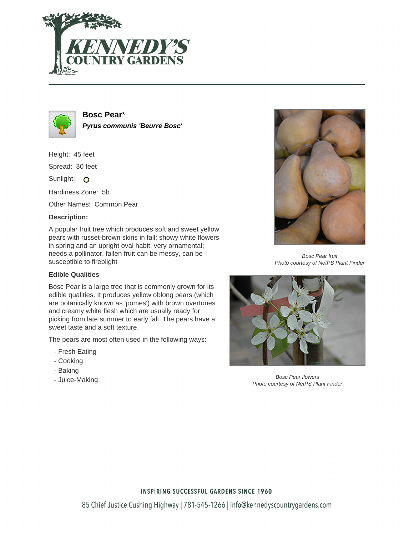



**Bosc Pear**\* **Pyrus communis 'Beurre Bosc'**

Height: 45 feet

Spread: 30 feet

Sunlight: O

Hardiness Zone: 5b

Other Names: Common Pear

### **Description:**

A popular fruit tree which produces soft and sweet yellow pears with russet-brown skins in fall; showy white flowers in spring and an upright oval habit, very ornamental; needs a pollinator, fallen fruit can be messy, can be susceptible to fireblight

### **Edible Qualities**

Bosc Pear is a large tree that is commonly grown for its edible qualities. It produces yellow oblong pears (which are botanically known as 'pomes') with brown overtones and creamy white flesh which are usually ready for picking from late summer to early fall. The pears have a sweet taste and a soft texture.

The pears are most often used in the following ways:

- Fresh Eating
- Cooking
- Baking
- Juice-Making



Bosc Pear fruit Photo courtesy of NetPS Plant Finder



Bosc Pear flowers Photo courtesy of NetPS Plant Finder